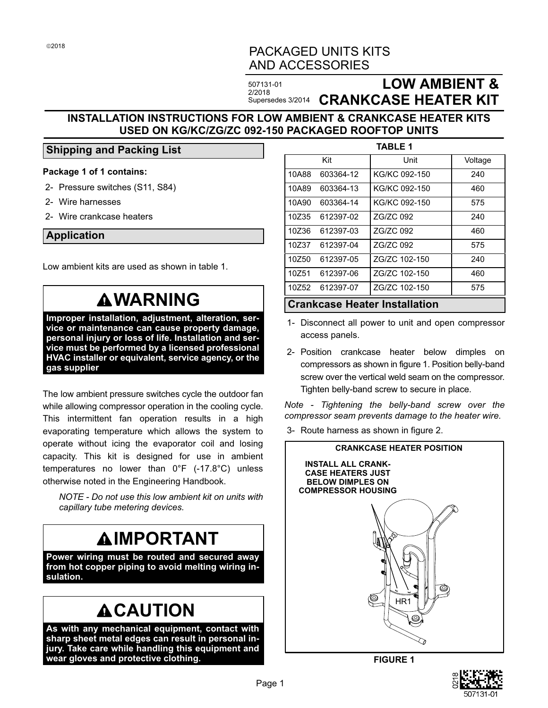# PACKAGED UNITS KITS AND ACCESSORIES

507131-01 2/2018

# Supersedes 3/2014 **CRANKCASE HEATER KIT LOW AMBIENT &**

## **INSTALLATION INSTRUCTIONS FOR LOW AMBIENT & CRANKCASE HEATER KITS USED ON KG/KC/ZG/ZC 092-150 PACKAGED ROOFTOP UNITS**

### **Shipping and Packing List**

#### **Package 1 of 1 contains:**

- 2- Pressure switches (S11, S84)
- 2- Wire harnesses
- 2- Wire crankcase heaters

#### **Application**

Low ambient kits are used as shown in table 1.

# **WARNING**

**Improper installation, adjustment, alteration, service or maintenance can cause property damage, personal injury or loss of life. Installation and service must be performed by a licensed professional HVAC installer or equivalent, service agency, or the gas supplier**

The low ambient pressure switches cycle the outdoor fan while allowing compressor operation in the cooling cycle. This intermittent fan operation results in a high evaporating temperature which allows the system to operate without icing the evaporator coil and losing capacity. This kit is designed for use in ambient temperatures no lower than 0°F (-17.8°C) unless otherwise noted in the Engineering Handbook.

*NOTE - Do not use this low ambient kit on units with capillary tube metering devices.*

# **IMPORTANT**

**Power wiring must be routed and secured away from hot copper piping to avoid melting wiring insulation.**

# **ACAUTION**

**As with any mechanical equipment, contact with sharp sheet metal edges can result in personal injury. Take care while handling this equipment and wear gloves and protective clothing.**

| <b>TABLE 1</b> |           |               |         |
|----------------|-----------|---------------|---------|
|                | Kit       | Unit          | Voltage |
| 10A88          | 603364-12 | KG/KC 092-150 | 240     |
| 10A89          | 603364-13 | KG/KC 092-150 | 460     |
| 10A90          | 603364-14 | KG/KC 092-150 | 575     |
| 10Z35          | 612397-02 | ZG/ZC 092     | 240     |
| 10Z36          | 612397-03 | ZG/ZC 092     | 460     |
| 10Z37          | 612397-04 | ZG/ZC 092     | 575     |
| 10Z50          | 612397-05 | ZG/ZC 102-150 | 240     |
| 10Z51          | 612397-06 | ZG/ZC 102-150 | 460     |
| 10Z52          | 612397-07 | ZG/ZC 102-150 | 575     |
|                |           |               |         |

#### **Crankcase Heater Installation**

- 1- Disconnect all power to unit and open compressor access panels.
- 2- Position crankcase heater below dimples on compressors as shown in figure 1. Position belly-band screw over the vertical weld seam on the compressor. Tighten belly-band screw to secure in place.

*Note - Tightening the belly-band screw over the compressor seam prevents damage to the heater wire.*

3- Route harness as shown in figure [2.](#page-1-0)



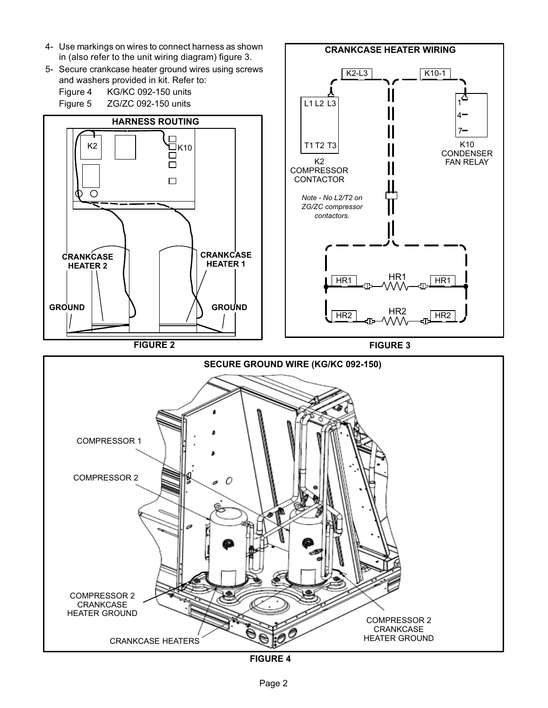<span id="page-1-0"></span>

**FIGURE 4**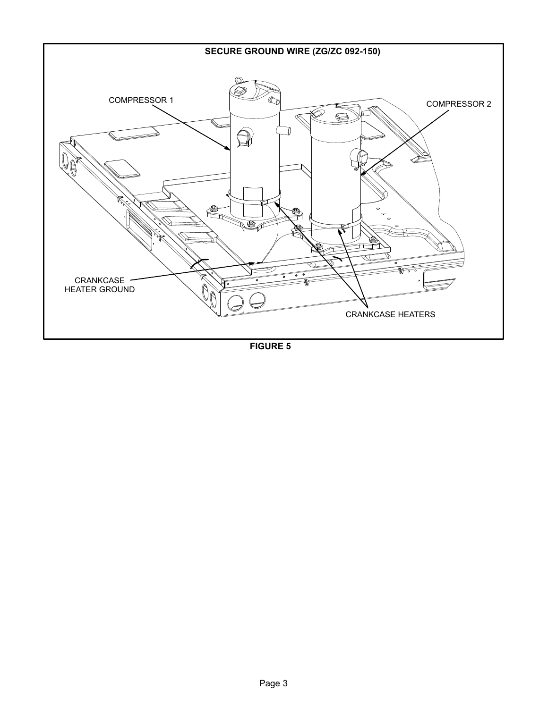<span id="page-2-0"></span>

**FIGURE 5**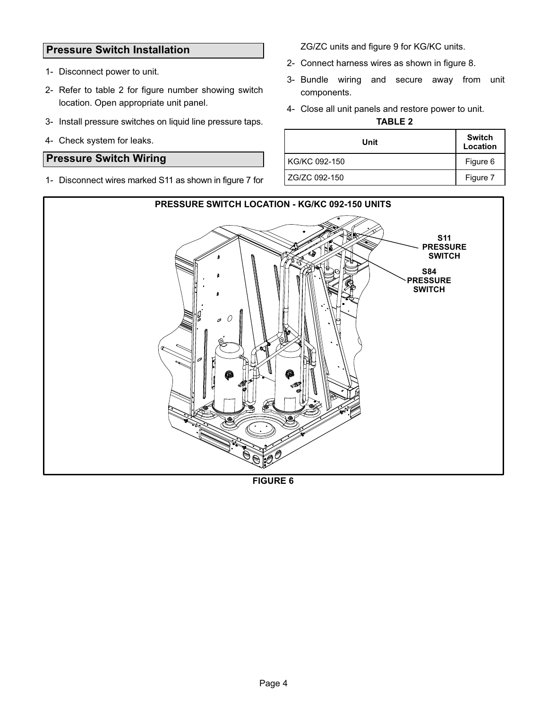## **Pressure Switch Installation**

- 1- Disconnect power to unit.
- 2- Refer to table 2 for figure number showing switch location. Open appropriate unit panel.
- 3- Install pressure switches on liquid line pressure taps.
- 4- Check system for leaks.

### **Pressure Switch Wiring**

1- Disconnect wires marked S11 as shown in figure [7](#page-4-0) for

ZG/ZC units and figure [9](#page-5-0) for KG/KC units.

- 2- Connect harness wires as shown in figure [8](#page-5-0).
- 3- Bundle wiring and secure away from unit components.
- 4- Close all unit panels and restore power to unit.

**TABLE 2**

| Unit          | <b>Switch</b><br>Location |
|---------------|---------------------------|
| KG/KC 092-150 | Figure 6                  |
| ZG/ZC 092-150 | Figure 7                  |



**FIGURE 6**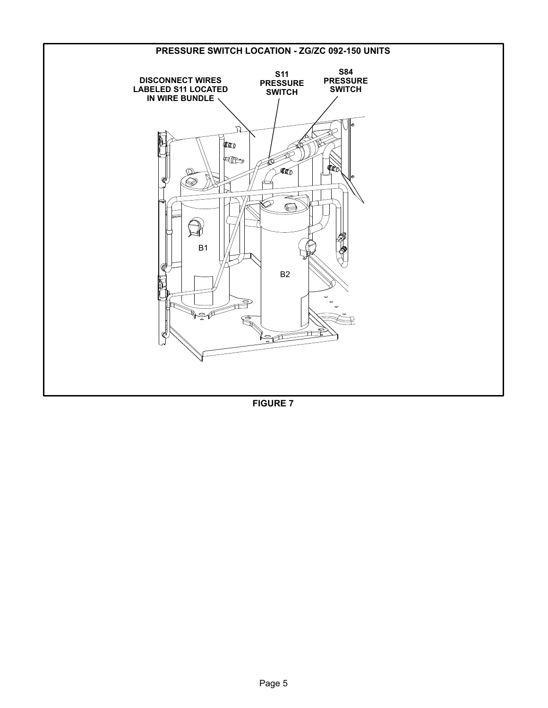<span id="page-4-0"></span>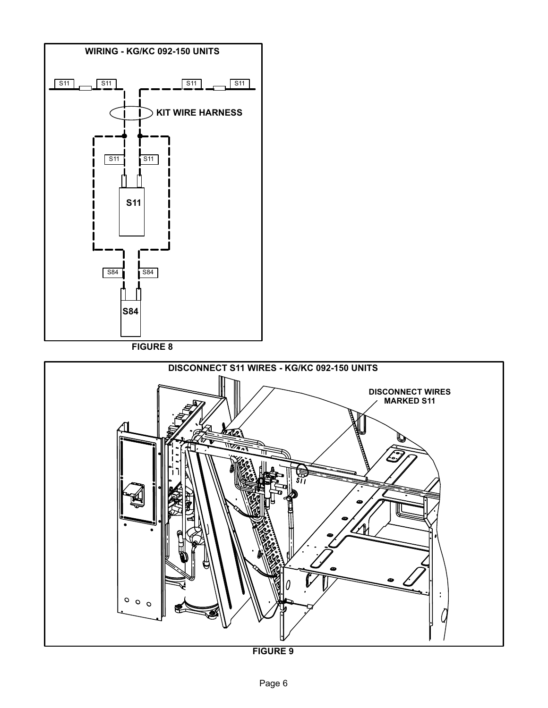<span id="page-5-0"></span>

**FIGURE 8**



**FIGURE 9**